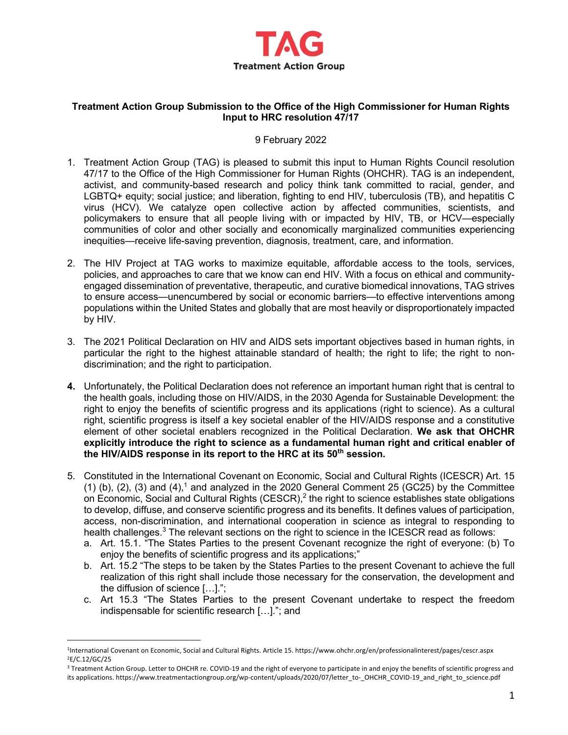

## **Treatment Action Group Submission to the Office of the High Commissioner for Human Rights Input to HRC resolution 47/17**

## 9 February 2022

- 1. Treatment Action Group (TAG) is pleased to submit this input to Human Rights Council resolution 47/17 to the Office of the High Commissioner for Human Rights (OHCHR). TAG is an independent, activist, and community-based research and policy think tank committed to racial, gender, and LGBTQ+ equity; social justice; and liberation, fighting to end HIV, tuberculosis (TB), and hepatitis C virus (HCV). We catalyze open collective action by affected communities, scientists, and policymakers to ensure that all people living with or impacted by HIV, TB, or HCV—especially communities of color and other socially and economically marginalized communities experiencing inequities—receive life-saving prevention, diagnosis, treatment, care, and information.
- 2. The HIV Project at TAG works to maximize equitable, affordable access to the tools, services, policies, and approaches to care that we know can end HIV. With a focus on ethical and communityengaged dissemination of preventative, therapeutic, and curative biomedical innovations, TAG strives to ensure access—unencumbered by social or economic barriers—to effective interventions among populations within the United States and globally that are most heavily or disproportionately impacted by HIV.
- 3. The 2021 Political Declaration on HIV and AIDS sets important objectives based in human rights, in particular the right to the highest attainable standard of health; the right to life; the right to nondiscrimination; and the right to participation.
- **4.** Unfortunately, the Political Declaration does not reference an important human right that is central to the health goals, including those on HIV/AIDS, in the 2030 Agenda for Sustainable Development: the right to enjoy the benefits of scientific progress and its applications (right to science). As a cultural right, scientific progress is itself a key societal enabler of the HIV/AIDS response and a constitutive element of other societal enablers recognized in the Political Declaration. **We ask that OHCHR explicitly introduce the right to science as a fundamental human right and critical enabler of the HIV/AIDS response in its report to the HRC at its 50th session.**
- 5. Constituted in the International Covenant on Economic, Social and Cultural Rights (ICESCR) Art. 15 (1) (b), (2), (3) and (4),<sup>1</sup> and analyzed in the 2020 General Comment 25 (GC25) by the Committee on Economic, Social and Cultural Rights (CESCR), $<sup>2</sup>$  the right to science establishes state obligations</sup> to develop, diffuse, and conserve scientific progress and its benefits. It defines values of participation, access, non-discrimination, and international cooperation in science as integral to responding to health challenges. $3$  The relevant sections on the right to science in the ICESCR read as follows:
	- a. Art. 15.1. "The States Parties to the present Covenant recognize the right of everyone: (b) To enjoy the benefits of scientific progress and its applications;"
	- b. Art. 15.2 "The steps to be taken by the States Parties to the present Covenant to achieve the full realization of this right shall include those necessary for the conservation, the development and the diffusion of science […].";
	- c. Art 15.3 "The States Parties to the present Covenant undertake to respect the freedom indispensable for scientific research […]."; and

<sup>1</sup>International Covenant on Economic, Social and Cultural Rights. Article 15. https://www.ohchr.org/en/professionalinterest/pages/cescr.aspx 2E/C.12/GC/25

<sup>&</sup>lt;sup>3</sup> Treatment Action Group. Letter to OHCHR re. COVID-19 and the right of everyone to participate in and enjoy the benefits of scientific progress and its applications. https://www.treatmentactiongroup.org/wp-content/uploads/2020/07/letter\_to-\_OHCHR\_COVID-19\_and\_right\_to\_science.pdf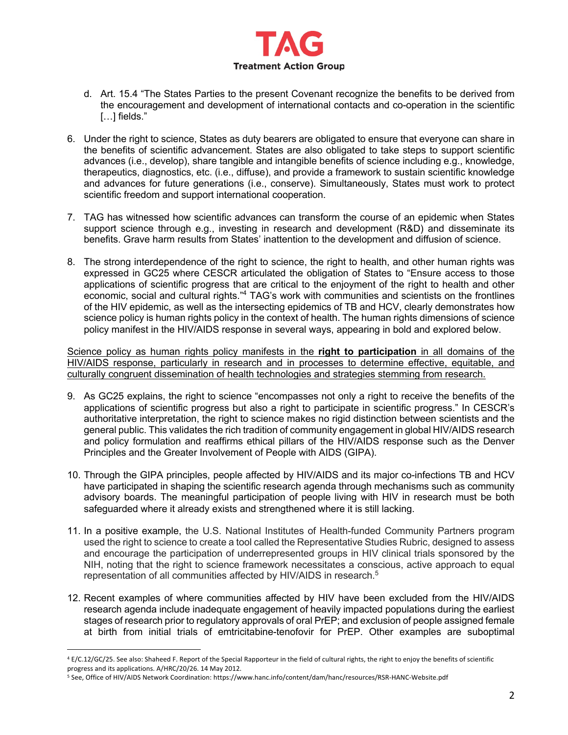

- d. Art. 15.4 "The States Parties to the present Covenant recognize the benefits to be derived from the encouragement and development of international contacts and co-operation in the scientific [...] fields."
- 6. Under the right to science, States as duty bearers are obligated to ensure that everyone can share in the benefits of scientific advancement. States are also obligated to take steps to support scientific advances (i.e., develop), share tangible and intangible benefits of science including e.g., knowledge, therapeutics, diagnostics, etc. (i.e., diffuse), and provide a framework to sustain scientific knowledge and advances for future generations (i.e., conserve). Simultaneously, States must work to protect scientific freedom and support international cooperation.
- 7. TAG has witnessed how scientific advances can transform the course of an epidemic when States support science through e.g., investing in research and development (R&D) and disseminate its benefits. Grave harm results from States' inattention to the development and diffusion of science.
- 8. The strong interdependence of the right to science, the right to health, and other human rights was expressed in GC25 where CESCR articulated the obligation of States to "Ensure access to those applications of scientific progress that are critical to the enjoyment of the right to health and other economic, social and cultural rights."4 TAG's work with communities and scientists on the frontlines of the HIV epidemic, as well as the intersecting epidemics of TB and HCV, clearly demonstrates how science policy is human rights policy in the context of health. The human rights dimensions of science policy manifest in the HIV/AIDS response in several ways, appearing in bold and explored below.

Science policy as human rights policy manifests in the **right to participation** in all domains of the HIV/AIDS response, particularly in research and in processes to determine effective, equitable, and culturally congruent dissemination of health technologies and strategies stemming from research.

- 9. As GC25 explains, the right to science "encompasses not only a right to receive the benefits of the applications of scientific progress but also a right to participate in scientific progress." In CESCR's authoritative interpretation, the right to science makes no rigid distinction between scientists and the general public. This validates the rich tradition of community engagement in global HIV/AIDS research and policy formulation and reaffirms ethical pillars of the HIV/AIDS response such as the Denver Principles and the Greater Involvement of People with AIDS (GIPA).
- 10. Through the GIPA principles, people affected by HIV/AIDS and its major co-infections TB and HCV have participated in shaping the scientific research agenda through mechanisms such as community advisory boards. The meaningful participation of people living with HIV in research must be both safeguarded where it already exists and strengthened where it is still lacking.
- 11. In a positive example, the U.S. National Institutes of Health-funded Community Partners program used the right to science to create a tool called the Representative Studies Rubric, designed to assess and encourage the participation of underrepresented groups in HIV clinical trials sponsored by the NIH, noting that the right to science framework necessitates a conscious, active approach to equal representation of all communities affected by HIV/AIDS in research.<sup>5</sup>
- 12. Recent examples of where communities affected by HIV have been excluded from the HIV/AIDS research agenda include inadequate engagement of heavily impacted populations during the earliest stages of research prior to regulatory approvals of oral PrEP; and exclusion of people assigned female at birth from initial trials of emtricitabine-tenofovir for PrEP. Other examples are suboptimal

<sup>4</sup> E/C.12/GC/25. See also: Shaheed F. Report of the Special Rapporteur in the field of cultural rights, the right to enjoy the benefits of scientific progress and its applications. A/HRC/20/26. 14 May 2012.

<sup>5</sup> See, Office of HIV/AIDS Network Coordination: https://www.hanc.info/content/dam/hanc/resources/RSR-HANC-Website.pdf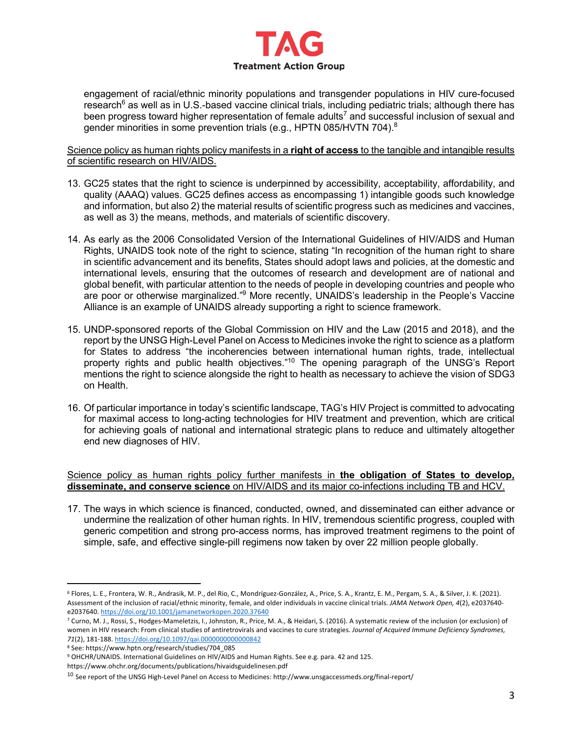

engagement of racial/ethnic minority populations and transgender populations in HIV cure-focused research<sup>6</sup> as well as in U.S.-based vaccine clinical trials, including pediatric trials; although there has been progress toward higher representation of female adults<sup>7</sup> and successful inclusion of sexual and gender minorities in some prevention trials (e.g., HPTN 085/HVTN 704). $^8$ 

Science policy as human rights policy manifests in a **right of access** to the tangible and intangible results of scientific research on HIV/AIDS.

- 13. GC25 states that the right to science is underpinned by accessibility, acceptability, affordability, and quality (AAAQ) values. GC25 defines access as encompassing 1) intangible goods such knowledge and information, but also 2) the material results of scientific progress such as medicines and vaccines, as well as 3) the means, methods, and materials of scientific discovery.
- 14. As early as the 2006 Consolidated Version of the International Guidelines of HIV/AIDS and Human Rights, UNAIDS took note of the right to science, stating "In recognition of the human right to share in scientific advancement and its benefits, States should adopt laws and policies, at the domestic and international levels, ensuring that the outcomes of research and development are of national and global benefit, with particular attention to the needs of people in developing countries and people who are poor or otherwise marginalized."9 More recently, UNAIDS's leadership in the People's Vaccine Alliance is an example of UNAIDS already supporting a right to science framework.
- 15. UNDP-sponsored reports of the Global Commission on HIV and the Law (2015 and 2018), and the report by the UNSG High-Level Panel on Access to Medicines invoke the right to science as a platform for States to address "the incoherencies between international human rights, trade, intellectual property rights and public health objectives."10 The opening paragraph of the UNSG's Report mentions the right to science alongside the right to health as necessary to achieve the vision of SDG3 on Health.
- 16. Of particular importance in today's scientific landscape, TAG's HIV Project is committed to advocating for maximal access to long-acting technologies for HIV treatment and prevention, which are critical for achieving goals of national and international strategic plans to reduce and ultimately altogether end new diagnoses of HIV.

## Science policy as human rights policy further manifests in **the obligation of States to develop, disseminate, and conserve science** on HIV/AIDS and its major co-infections including TB and HCV.

17. The ways in which science is financed, conducted, owned, and disseminated can either advance or undermine the realization of other human rights. In HIV, tremendous scientific progress, coupled with generic competition and strong pro-access norms, has improved treatment regimens to the point of simple, safe, and effective single-pill regimens now taken by over 22 million people globally.

<sup>6</sup> Flores, L. E., Frontera, W. R., Andrasik, M. P., del Rio, C., Mondríguez-González, A., Price, S. A., Krantz, E. M., Pergam, S. A., & Silver, J. K. (2021). Assessment of the inclusion of racial/ethnic minority, female, and older individuals in vaccine clinical trials. *JAMA Network Open, 4*(2), e2037640 e2037640. https://doi.org/10.1001/jamanetworkopen.2020.37640

<sup>7</sup> Curno, M. J., Rossi, S., Hodges-Mameletzis, I., Johnston, R., Price, M. A., & Heidari, S. (2016). A systematic review of the inclusion (or exclusion) of women in HIV research: From clinical studies of antiretrovirals and vaccines to cure strategies. *Journal of Acquired Immune Deficiency Syndromes, 71*(2), 181-188. https://doi.org/10.1097/qai.0000000000000842

<sup>8</sup> See: https://www.hptn.org/research/studies/704\_085

<sup>9</sup> OHCHR/UNAIDS. International Guidelines on HIV/AIDS and Human Rights. See e.g. para. 42 and 125.

https://www.ohchr.org/documents/publications/hivaidsguidelinesen.pdf

<sup>&</sup>lt;sup>10</sup> See report of the UNSG High-Level Panel on Access to Medicines: http://www.unsgaccessmeds.org/final-report/